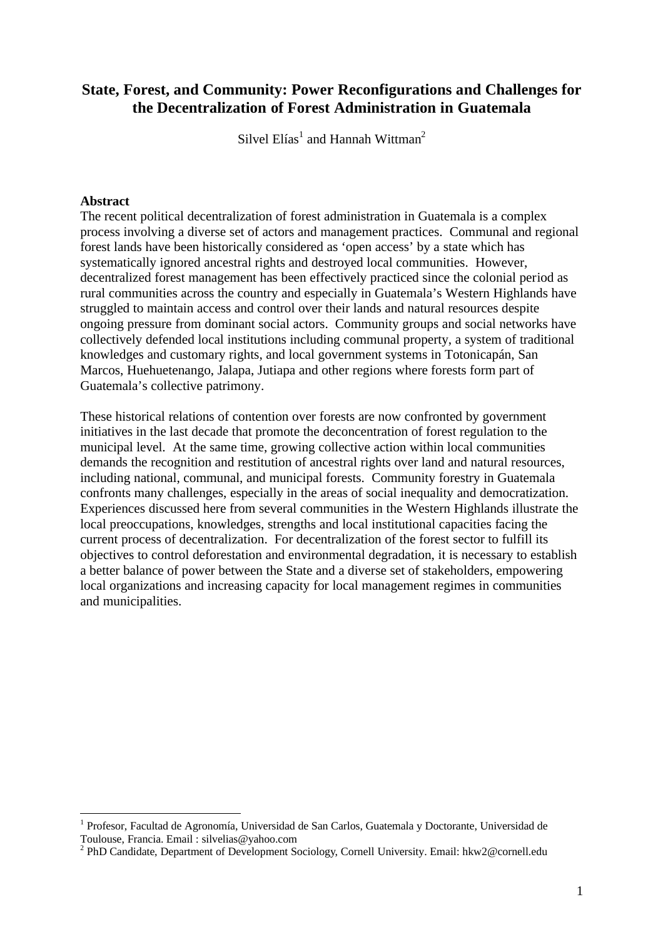# **State, Forest, and Community: Power Reconfigurations and Challenges for the Decentralization of Forest Administration in Guatemala**

Silvel  $E$ lías $^1$  and Hannah Wittman<sup>2</sup>

### **Abstract**

 $\overline{a}$ 

The recent political decentralization of forest administration in Guatemala is a complex process involving a diverse set of actors and management practices. Communal and regional forest lands have been historically considered as 'open access' by a state which has systematically ignored ancestral rights and destroyed local communities. However, decentralized forest management has been effectively practiced since the colonial period as rural communities across the country and especially in Guatemala's Western Highlands have struggled to maintain access and control over their lands and natural resources despite ongoing pressure from dominant social actors. Community groups and social networks have collectively defended local institutions including communal property, a system of traditional knowledges and customary rights, and local government systems in Totonicapán, San Marcos, Huehuetenango, Jalapa, Jutiapa and other regions where forests form part of Guatemala's collective patrimony.

These historical relations of contention over forests are now confronted by government initiatives in the last decade that promote the deconcentration of forest regulation to the municipal level. At the same time, growing collective action within local communities demands the recognition and restitution of ancestral rights over land and natural resources, including national, communal, and municipal forests. Community forestry in Guatemala confronts many challenges, especially in the areas of social inequality and democratization. Experiences discussed here from several communities in the Western Highlands illustrate the local preoccupations, knowledges, strengths and local institutional capacities facing the current process of decentralization. For decentralization of the forest sector to fulfill its objectives to control deforestation and environmental degradation, it is necessary to establish a better balance of power between the State and a diverse set of stakeholders, empowering local organizations and increasing capacity for local management regimes in communities and municipalities.

<sup>&</sup>lt;sup>1</sup> Profesor, Facultad de Agronomía, Universidad de San Carlos, Guatemala y Doctorante, Universidad de Toulouse, Francia. Email : silvelias@yahoo.com

<sup>&</sup>lt;sup>2</sup> PhD Candidate, Department of Development Sociology, Cornell University. Email: hkw2@cornell.edu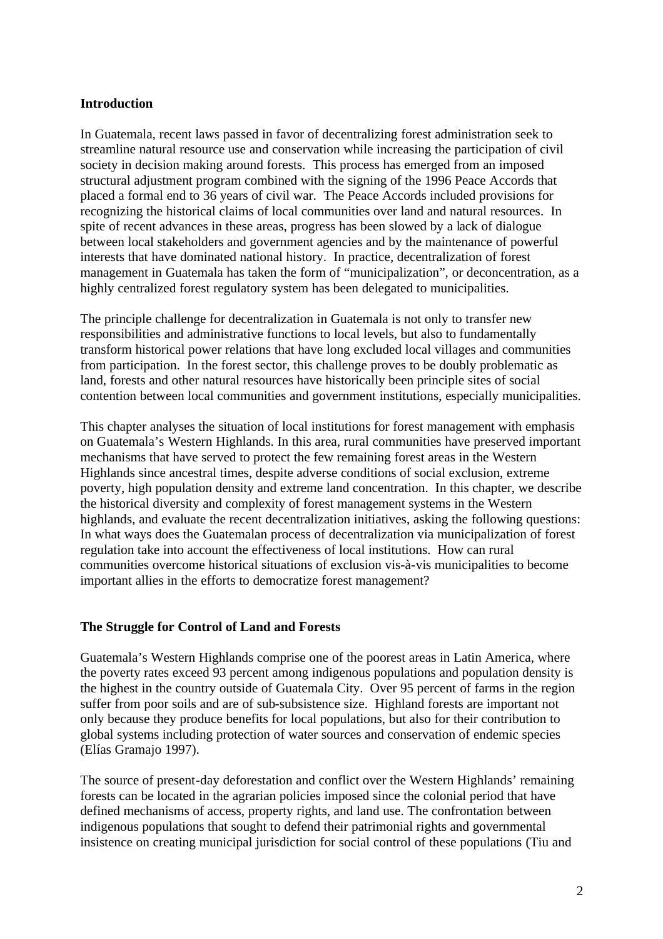### **Introduction**

In Guatemala, recent laws passed in favor of decentralizing forest administration seek to streamline natural resource use and conservation while increasing the participation of civil society in decision making around forests. This process has emerged from an imposed structural adjustment program combined with the signing of the 1996 Peace Accords that placed a formal end to 36 years of civil war. The Peace Accords included provisions for recognizing the historical claims of local communities over land and natural resources. In spite of recent advances in these areas, progress has been slowed by a lack of dialogue between local stakeholders and government agencies and by the maintenance of powerful interests that have dominated national history. In practice, decentralization of forest management in Guatemala has taken the form of "municipalization", or deconcentration, as a highly centralized forest regulatory system has been delegated to municipalities.

The principle challenge for decentralization in Guatemala is not only to transfer new responsibilities and administrative functions to local levels, but also to fundamentally transform historical power relations that have long excluded local villages and communities from participation. In the forest sector, this challenge proves to be doubly problematic as land, forests and other natural resources have historically been principle sites of social contention between local communities and government institutions, especially municipalities.

This chapter analyses the situation of local institutions for forest management with emphasis on Guatemala's Western Highlands. In this area, rural communities have preserved important mechanisms that have served to protect the few remaining forest areas in the Western Highlands since ancestral times, despite adverse conditions of social exclusion, extreme poverty, high population density and extreme land concentration. In this chapter, we describe the historical diversity and complexity of forest management systems in the Western highlands, and evaluate the recent decentralization initiatives, asking the following questions: In what ways does the Guatemalan process of decentralization via municipalization of forest regulation take into account the effectiveness of local institutions. How can rural communities overcome historical situations of exclusion vis-à-vis municipalities to become important allies in the efforts to democratize forest management?

### **The Struggle for Control of Land and Forests**

Guatemala's Western Highlands comprise one of the poorest areas in Latin America, where the poverty rates exceed 93 percent among indigenous populations and population density is the highest in the country outside of Guatemala City. Over 95 percent of farms in the region suffer from poor soils and are of sub-subsistence size. Highland forests are important not only because they produce benefits for local populations, but also for their contribution to global systems including protection of water sources and conservation of endemic species (Elías Gramajo 1997).

The source of present-day deforestation and conflict over the Western Highlands' remaining forests can be located in the agrarian policies imposed since the colonial period that have defined mechanisms of access, property rights, and land use. The confrontation between indigenous populations that sought to defend their patrimonial rights and governmental insistence on creating municipal jurisdiction for social control of these populations (Tiu and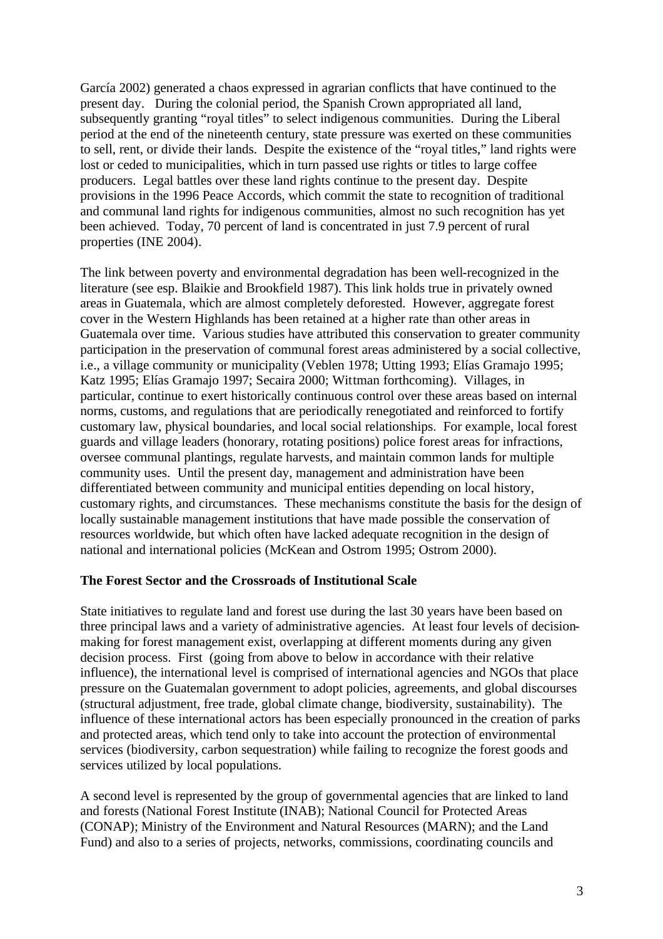García 2002) generated a chaos expressed in agrarian conflicts that have continued to the present day. During the colonial period, the Spanish Crown appropriated all land, subsequently granting "royal titles" to select indigenous communities. During the Liberal period at the end of the nineteenth century, state pressure was exerted on these communities to sell, rent, or divide their lands. Despite the existence of the "royal titles," land rights were lost or ceded to municipalities, which in turn passed use rights or titles to large coffee producers. Legal battles over these land rights continue to the present day. Despite provisions in the 1996 Peace Accords, which commit the state to recognition of traditional and communal land rights for indigenous communities, almost no such recognition has yet been achieved. Today, 70 percent of land is concentrated in just 7.9 percent of rural properties (INE 2004).

The link between poverty and environmental degradation has been well-recognized in the literature (see esp. Blaikie and Brookfield 1987). This link holds true in privately owned areas in Guatemala, which are almost completely deforested. However, aggregate forest cover in the Western Highlands has been retained at a higher rate than other areas in Guatemala over time. Various studies have attributed this conservation to greater community participation in the preservation of communal forest areas administered by a social collective, i.e., a village community or municipality (Veblen 1978; Utting 1993; Elías Gramajo 1995; Katz 1995; Elías Gramajo 1997; Secaira 2000; Wittman forthcoming). Villages, in particular, continue to exert historically continuous control over these areas based on internal norms, customs, and regulations that are periodically renegotiated and reinforced to fortify customary law, physical boundaries, and local social relationships. For example, local forest guards and village leaders (honorary, rotating positions) police forest areas for infractions, oversee communal plantings, regulate harvests, and maintain common lands for multiple community uses. Until the present day, management and administration have been differentiated between community and municipal entities depending on local history, customary rights, and circumstances. These mechanisms constitute the basis for the design of locally sustainable management institutions that have made possible the conservation of resources worldwide, but which often have lacked adequate recognition in the design of national and international policies (McKean and Ostrom 1995; Ostrom 2000).

### **The Forest Sector and the Crossroads of Institutional Scale**

State initiatives to regulate land and forest use during the last 30 years have been based on three principal laws and a variety of administrative agencies. At least four levels of decisionmaking for forest management exist, overlapping at different moments during any given decision process. First (going from above to below in accordance with their relative influence), the international level is comprised of international agencies and NGOs that place pressure on the Guatemalan government to adopt policies, agreements, and global discourses (structural adjustment, free trade, global climate change, biodiversity, sustainability). The influence of these international actors has been especially pronounced in the creation of parks and protected areas, which tend only to take into account the protection of environmental services (biodiversity, carbon sequestration) while failing to recognize the forest goods and services utilized by local populations.

A second level is represented by the group of governmental agencies that are linked to land and forests (National Forest Institute (INAB); National Council for Protected Areas (CONAP); Ministry of the Environment and Natural Resources (MARN); and the Land Fund) and also to a series of projects, networks, commissions, coordinating councils and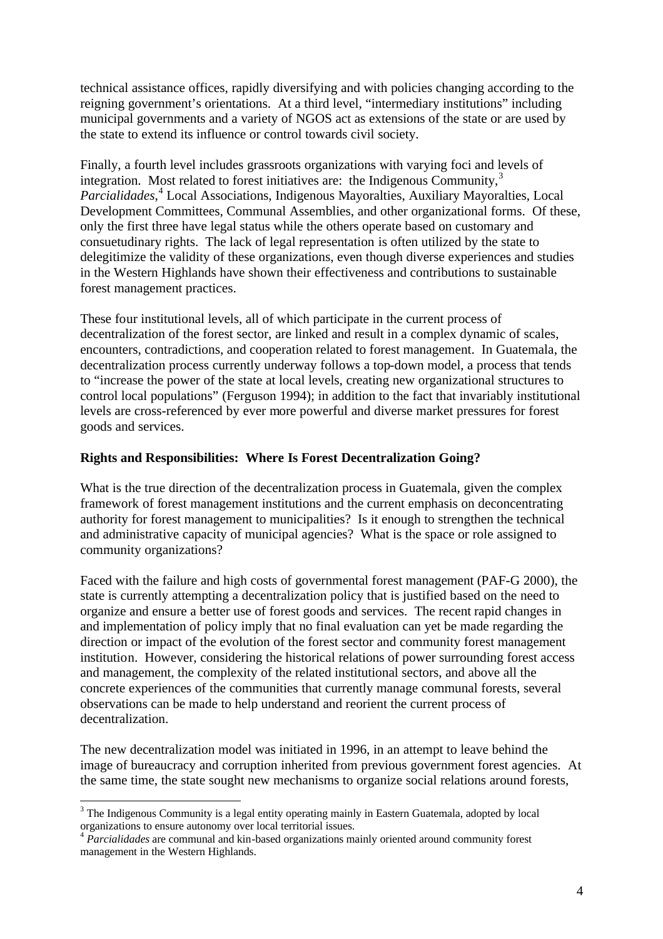technical assistance offices, rapidly diversifying and with policies changing according to the reigning government's orientations. At a third level, "intermediary institutions" including municipal governments and a variety of NGOS act as extensions of the state or are used by the state to extend its influence or control towards civil society.

Finally, a fourth level includes grassroots organizations with varying foci and levels of integration. Most related to forest initiatives are: the Indigenous Community, $3$ *Parcialidades*, 4 Local Associations, Indigenous Mayoralties, Auxiliary Mayoralties, Local Development Committees, Communal Assemblies, and other organizational forms. Of these, only the first three have legal status while the others operate based on customary and consuetudinary rights. The lack of legal representation is often utilized by the state to delegitimize the validity of these organizations, even though diverse experiences and studies in the Western Highlands have shown their effectiveness and contributions to sustainable forest management practices.

These four institutional levels, all of which participate in the current process of decentralization of the forest sector, are linked and result in a complex dynamic of scales, encounters, contradictions, and cooperation related to forest management. In Guatemala, the decentralization process currently underway follows a top-down model, a process that tends to "increase the power of the state at local levels, creating new organizational structures to control local populations" (Ferguson 1994); in addition to the fact that invariably institutional levels are cross-referenced by ever more powerful and diverse market pressures for forest goods and services.

## **Rights and Responsibilities: Where Is Forest Decentralization Going?**

What is the true direction of the decentralization process in Guatemala, given the complex framework of forest management institutions and the current emphasis on deconcentrating authority for forest management to municipalities? Is it enough to strengthen the technical and administrative capacity of municipal agencies? What is the space or role assigned to community organizations?

Faced with the failure and high costs of governmental forest management (PAF-G 2000), the state is currently attempting a decentralization policy that is justified based on the need to organize and ensure a better use of forest goods and services. The recent rapid changes in and implementation of policy imply that no final evaluation can yet be made regarding the direction or impact of the evolution of the forest sector and community forest management institution. However, considering the historical relations of power surrounding forest access and management, the complexity of the related institutional sectors, and above all the concrete experiences of the communities that currently manage communal forests, several observations can be made to help understand and reorient the current process of decentralization.

The new decentralization model was initiated in 1996, in an attempt to leave behind the image of bureaucracy and corruption inherited from previous government forest agencies. At the same time, the state sought new mechanisms to organize social relations around forests,

 $\overline{a}$ 

<sup>&</sup>lt;sup>3</sup> The Indigenous Community is a legal entity operating mainly in Eastern Guatemala, adopted by local organizations to ensure autonomy over local territorial issues.

<sup>&</sup>lt;sup>4</sup> Parcialidades are communal and kin-based organizations mainly oriented around community forest management in the Western Highlands.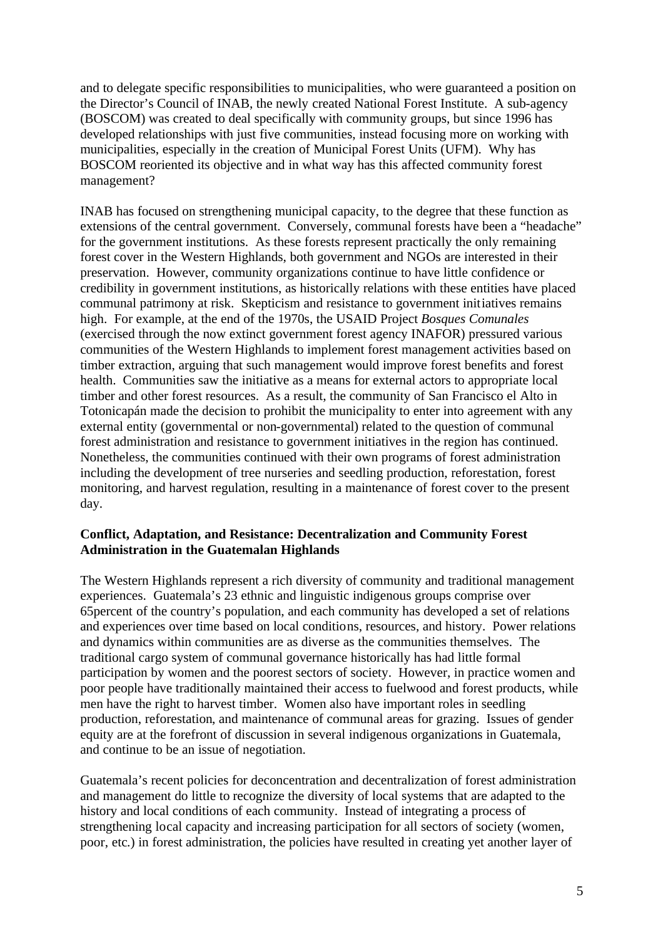and to delegate specific responsibilities to municipalities, who were guaranteed a position on the Director's Council of INAB, the newly created National Forest Institute. A sub-agency (BOSCOM) was created to deal specifically with community groups, but since 1996 has developed relationships with just five communities, instead focusing more on working with municipalities, especially in the creation of Municipal Forest Units (UFM). Why has BOSCOM reoriented its objective and in what way has this affected community forest management?

INAB has focused on strengthening municipal capacity, to the degree that these function as extensions of the central government. Conversely, communal forests have been a "headache" for the government institutions. As these forests represent practically the only remaining forest cover in the Western Highlands, both government and NGOs are interested in their preservation. However, community organizations continue to have little confidence or credibility in government institutions, as historically relations with these entities have placed communal patrimony at risk. Skepticism and resistance to government initiatives remains high. For example, at the end of the 1970s, the USAID Project *Bosques Comunales* (exercised through the now extinct government forest agency INAFOR) pressured various communities of the Western Highlands to implement forest management activities based on timber extraction, arguing that such management would improve forest benefits and forest health. Communities saw the initiative as a means for external actors to appropriate local timber and other forest resources. As a result, the community of San Francisco el Alto in Totonicapán made the decision to prohibit the municipality to enter into agreement with any external entity (governmental or non-governmental) related to the question of communal forest administration and resistance to government initiatives in the region has continued. Nonetheless, the communities continued with their own programs of forest administration including the development of tree nurseries and seedling production, reforestation, forest monitoring, and harvest regulation, resulting in a maintenance of forest cover to the present day.

## **Conflict, Adaptation, and Resistance: Decentralization and Community Forest Administration in the Guatemalan Highlands**

The Western Highlands represent a rich diversity of community and traditional management experiences. Guatemala's 23 ethnic and linguistic indigenous groups comprise over 65percent of the country's population, and each community has developed a set of relations and experiences over time based on local conditions, resources, and history. Power relations and dynamics within communities are as diverse as the communities themselves. The traditional cargo system of communal governance historically has had little formal participation by women and the poorest sectors of society. However, in practice women and poor people have traditionally maintained their access to fuelwood and forest products, while men have the right to harvest timber. Women also have important roles in seedling production, reforestation, and maintenance of communal areas for grazing. Issues of gender equity are at the forefront of discussion in several indigenous organizations in Guatemala, and continue to be an issue of negotiation.

Guatemala's recent policies for deconcentration and decentralization of forest administration and management do little to recognize the diversity of local systems that are adapted to the history and local conditions of each community. Instead of integrating a process of strengthening local capacity and increasing participation for all sectors of society (women, poor, etc.) in forest administration, the policies have resulted in creating yet another layer of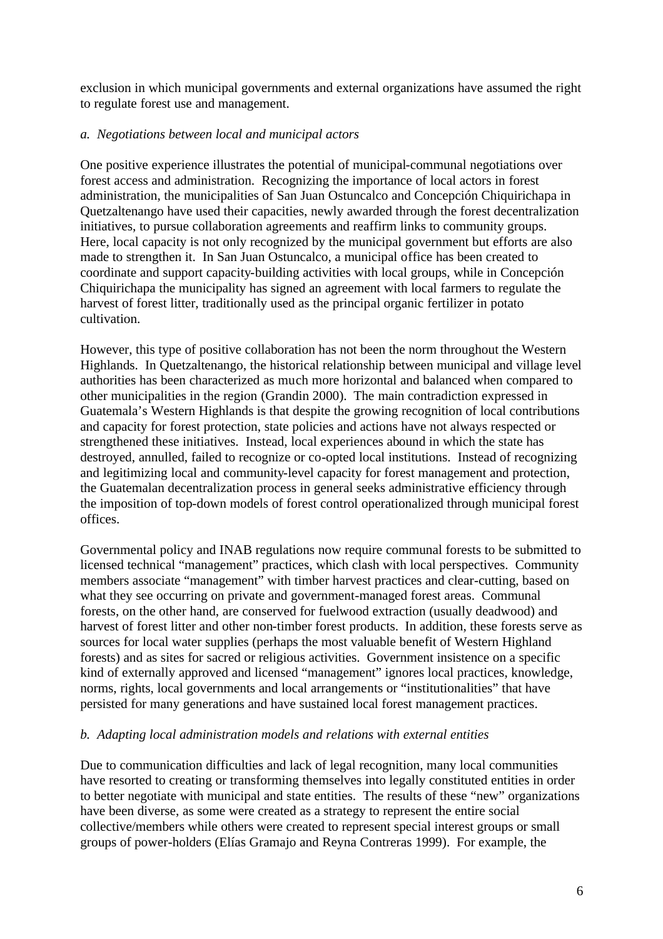exclusion in which municipal governments and external organizations have assumed the right to regulate forest use and management.

## *a. Negotiations between local and municipal actors*

One positive experience illustrates the potential of municipal-communal negotiations over forest access and administration. Recognizing the importance of local actors in forest administration, the municipalities of San Juan Ostuncalco and Concepción Chiquirichapa in Quetzaltenango have used their capacities, newly awarded through the forest decentralization initiatives, to pursue collaboration agreements and reaffirm links to community groups. Here, local capacity is not only recognized by the municipal government but efforts are also made to strengthen it. In San Juan Ostuncalco, a municipal office has been created to coordinate and support capacity-building activities with local groups, while in Concepción Chiquirichapa the municipality has signed an agreement with local farmers to regulate the harvest of forest litter, traditionally used as the principal organic fertilizer in potato cultivation.

However, this type of positive collaboration has not been the norm throughout the Western Highlands. In Quetzaltenango, the historical relationship between municipal and village level authorities has been characterized as much more horizontal and balanced when compared to other municipalities in the region (Grandin 2000). The main contradiction expressed in Guatemala's Western Highlands is that despite the growing recognition of local contributions and capacity for forest protection, state policies and actions have not always respected or strengthened these initiatives. Instead, local experiences abound in which the state has destroyed, annulled, failed to recognize or co-opted local institutions. Instead of recognizing and legitimizing local and community-level capacity for forest management and protection, the Guatemalan decentralization process in general seeks administrative efficiency through the imposition of top-down models of forest control operationalized through municipal forest offices.

Governmental policy and INAB regulations now require communal forests to be submitted to licensed technical "management" practices, which clash with local perspectives. Community members associate "management" with timber harvest practices and clear-cutting, based on what they see occurring on private and government-managed forest areas. Communal forests, on the other hand, are conserved for fuelwood extraction (usually deadwood) and harvest of forest litter and other non-timber forest products. In addition, these forests serve as sources for local water supplies (perhaps the most valuable benefit of Western Highland forests) and as sites for sacred or religious activities. Government insistence on a specific kind of externally approved and licensed "management" ignores local practices, knowledge, norms, rights, local governments and local arrangements or "institutionalities" that have persisted for many generations and have sustained local forest management practices.

## *b. Adapting local administration models and relations with external entities*

Due to communication difficulties and lack of legal recognition, many local communities have resorted to creating or transforming themselves into legally constituted entities in order to better negotiate with municipal and state entities. The results of these "new" organizations have been diverse, as some were created as a strategy to represent the entire social collective/members while others were created to represent special interest groups or small groups of power-holders (Elías Gramajo and Reyna Contreras 1999). For example, the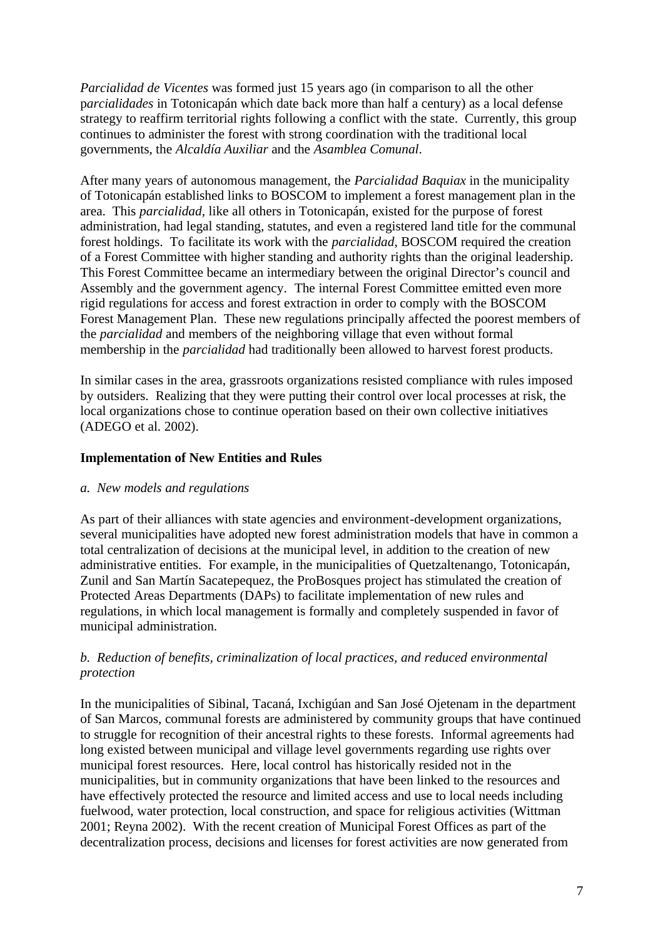*Parcialidad de Vicentes* was formed just 15 years ago (in comparison to all the other p*arcialidades* in Totonicapán which date back more than half a century) as a local defense strategy to reaffirm territorial rights following a conflict with the state. Currently, this group continues to administer the forest with strong coordination with the traditional local governments, the *Alcaldía Auxiliar* and the *Asamblea Comunal*.

After many years of autonomous management, the *Parcialidad Baquiax* in the municipality of Totonicapán established links to BOSCOM to implement a forest management plan in the area. This *parcialidad*, like all others in Totonicapán, existed for the purpose of forest administration, had legal standing, statutes, and even a registered land title for the communal forest holdings. To facilitate its work with the *parcialidad*, BOSCOM required the creation of a Forest Committee with higher standing and authority rights than the original leadership*.* This Forest Committee became an intermediary between the original Director's council and Assembly and the government agency. The internal Forest Committee emitted even more rigid regulations for access and forest extraction in order to comply with the BOSCOM Forest Management Plan. These new regulations principally affected the poorest members of the *parcialidad* and members of the neighboring village that even without formal membership in the *parcialidad* had traditionally been allowed to harvest forest products.

In similar cases in the area, grassroots organizations resisted compliance with rules imposed by outsiders. Realizing that they were putting their control over local processes at risk, the local organizations chose to continue operation based on their own collective initiatives (ADEGO et al. 2002).

## **Implementation of New Entities and Rules**

### *a. New models and regulations*

As part of their alliances with state agencies and environment-development organizations, several municipalities have adopted new forest administration models that have in common a total centralization of decisions at the municipal level, in addition to the creation of new administrative entities. For example, in the municipalities of Quetzaltenango, Totonicapán, Zunil and San Martín Sacatepequez, the ProBosques project has stimulated the creation of Protected Areas Departments (DAPs) to facilitate implementation of new rules and regulations, in which local management is formally and completely suspended in favor of municipal administration.

# *b. Reduction of benefits, criminalization of local practices, and reduced environmental protection*

In the municipalities of Sibinal, Tacaná, Ixchigúan and San José Ojetenam in the department of San Marcos, communal forests are administered by community groups that have continued to struggle for recognition of their ancestral rights to these forests. Informal agreements had long existed between municipal and village level governments regarding use rights over municipal forest resources. Here, local control has historically resided not in the municipalities, but in community organizations that have been linked to the resources and have effectively protected the resource and limited access and use to local needs including fuelwood, water protection, local construction, and space for religious activities (Wittman 2001; Reyna 2002). With the recent creation of Municipal Forest Offices as part of the decentralization process, decisions and licenses for forest activities are now generated from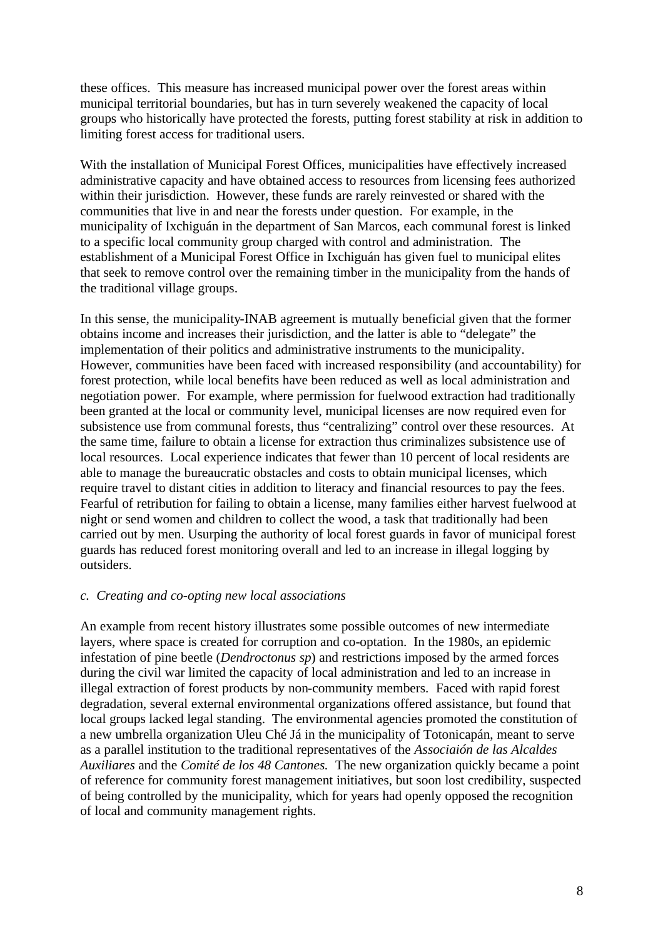these offices. This measure has increased municipal power over the forest areas within municipal territorial boundaries, but has in turn severely weakened the capacity of local groups who historically have protected the forests, putting forest stability at risk in addition to limiting forest access for traditional users.

With the installation of Municipal Forest Offices, municipalities have effectively increased administrative capacity and have obtained access to resources from licensing fees authorized within their jurisdiction. However, these funds are rarely reinvested or shared with the communities that live in and near the forests under question. For example, in the municipality of Ixchiguán in the department of San Marcos, each communal forest is linked to a specific local community group charged with control and administration. The establishment of a Municipal Forest Office in Ixchiguán has given fuel to municipal elites that seek to remove control over the remaining timber in the municipality from the hands of the traditional village groups.

In this sense, the municipality-INAB agreement is mutually beneficial given that the former obtains income and increases their jurisdiction, and the latter is able to "delegate" the implementation of their politics and administrative instruments to the municipality. However, communities have been faced with increased responsibility (and accountability) for forest protection, while local benefits have been reduced as well as local administration and negotiation power. For example, where permission for fuelwood extraction had traditionally been granted at the local or community level, municipal licenses are now required even for subsistence use from communal forests, thus "centralizing" control over these resources. At the same time, failure to obtain a license for extraction thus criminalizes subsistence use of local resources. Local experience indicates that fewer than 10 percent of local residents are able to manage the bureaucratic obstacles and costs to obtain municipal licenses, which require travel to distant cities in addition to literacy and financial resources to pay the fees. Fearful of retribution for failing to obtain a license, many families either harvest fuelwood at night or send women and children to collect the wood, a task that traditionally had been carried out by men. Usurping the authority of local forest guards in favor of municipal forest guards has reduced forest monitoring overall and led to an increase in illegal logging by outsiders.

#### *c. Creating and co-opting new local associations*

An example from recent history illustrates some possible outcomes of new intermediate layers, where space is created for corruption and co-optation. In the 1980s, an epidemic infestation of pine beetle (*Dendroctonus sp*) and restrictions imposed by the armed forces during the civil war limited the capacity of local administration and led to an increase in illegal extraction of forest products by non-community members. Faced with rapid forest degradation, several external environmental organizations offered assistance, but found that local groups lacked legal standing. The environmental agencies promoted the constitution of a new umbrella organization Uleu Ché Já in the municipality of Totonicapán, meant to serve as a parallel institution to the traditional representatives of the *Associaión de las Alcaldes Auxiliares* and the *Comité de los 48 Cantones.* The new organization quickly became a point of reference for community forest management initiatives, but soon lost credibility, suspected of being controlled by the municipality, which for years had openly opposed the recognition of local and community management rights.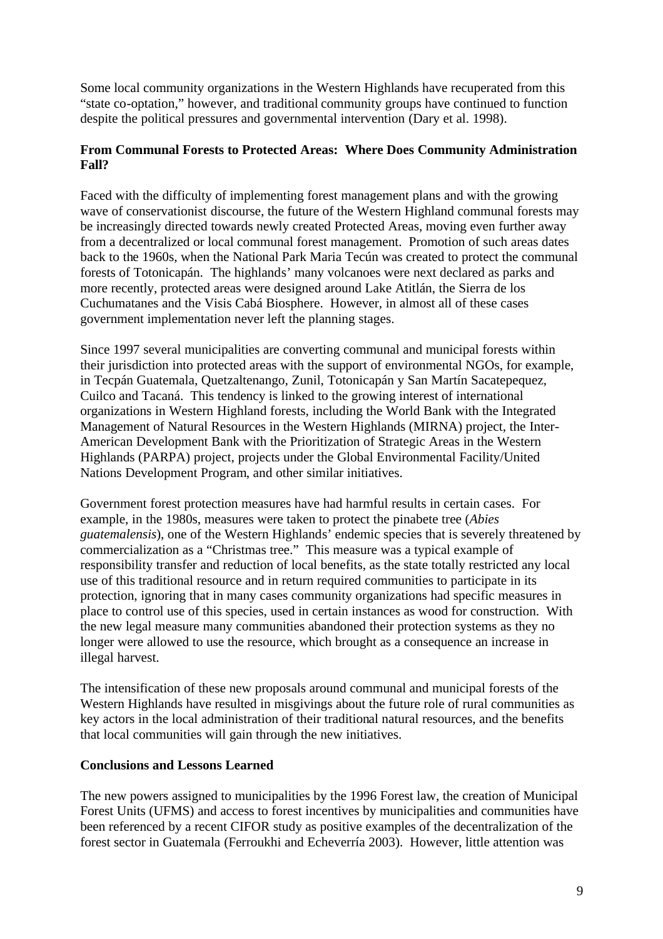Some local community organizations in the Western Highlands have recuperated from this "state co-optation," however, and traditional community groups have continued to function despite the political pressures and governmental intervention (Dary et al. 1998).

# **From Communal Forests to Protected Areas: Where Does Community Administration Fall?**

Faced with the difficulty of implementing forest management plans and with the growing wave of conservationist discourse, the future of the Western Highland communal forests may be increasingly directed towards newly created Protected Areas, moving even further away from a decentralized or local communal forest management. Promotion of such areas dates back to the 1960s, when the National Park Maria Tecún was created to protect the communal forests of Totonicapán. The highlands' many volcanoes were next declared as parks and more recently, protected areas were designed around Lake Atitlán, the Sierra de los Cuchumatanes and the Visis Cabá Biosphere. However, in almost all of these cases government implementation never left the planning stages.

Since 1997 several municipalities are converting communal and municipal forests within their jurisdiction into protected areas with the support of environmental NGOs, for example, in Tecpán Guatemala, Quetzaltenango, Zunil, Totonicapán y San Martín Sacatepequez, Cuilco and Tacaná. This tendency is linked to the growing interest of international organizations in Western Highland forests, including the World Bank with the Integrated Management of Natural Resources in the Western Highlands (MIRNA) project, the Inter-American Development Bank with the Prioritization of Strategic Areas in the Western Highlands (PARPA) project, projects under the Global Environmental Facility/United Nations Development Program, and other similar initiatives.

Government forest protection measures have had harmful results in certain cases. For example, in the 1980s, measures were taken to protect the pinabete tree (*Abies guatemalensis*), one of the Western Highlands' endemic species that is severely threatened by commercialization as a "Christmas tree." This measure was a typical example of responsibility transfer and reduction of local benefits, as the state totally restricted any local use of this traditional resource and in return required communities to participate in its protection, ignoring that in many cases community organizations had specific measures in place to control use of this species, used in certain instances as wood for construction. With the new legal measure many communities abandoned their protection systems as they no longer were allowed to use the resource, which brought as a consequence an increase in illegal harvest.

The intensification of these new proposals around communal and municipal forests of the Western Highlands have resulted in misgivings about the future role of rural communities as key actors in the local administration of their traditional natural resources, and the benefits that local communities will gain through the new initiatives.

## **Conclusions and Lessons Learned**

The new powers assigned to municipalities by the 1996 Forest law, the creation of Municipal Forest Units (UFMS) and access to forest incentives by municipalities and communities have been referenced by a recent CIFOR study as positive examples of the decentralization of the forest sector in Guatemala (Ferroukhi and Echeverría 2003). However, little attention was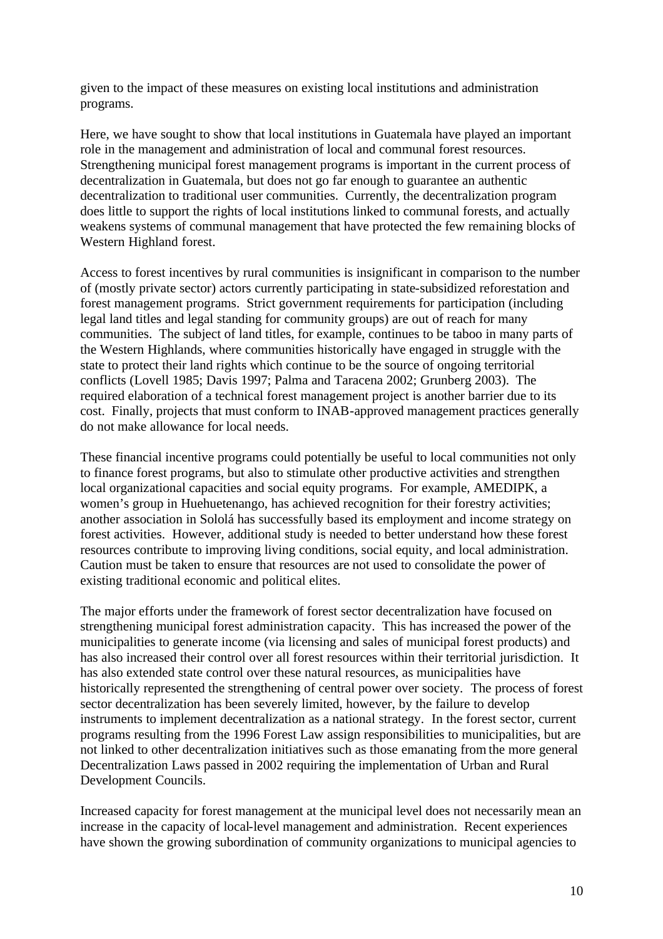given to the impact of these measures on existing local institutions and administration programs.

Here, we have sought to show that local institutions in Guatemala have played an important role in the management and administration of local and communal forest resources. Strengthening municipal forest management programs is important in the current process of decentralization in Guatemala, but does not go far enough to guarantee an authentic decentralization to traditional user communities. Currently, the decentralization program does little to support the rights of local institutions linked to communal forests, and actually weakens systems of communal management that have protected the few remaining blocks of Western Highland forest.

Access to forest incentives by rural communities is insignificant in comparison to the number of (mostly private sector) actors currently participating in state-subsidized reforestation and forest management programs. Strict government requirements for participation (including legal land titles and legal standing for community groups) are out of reach for many communities. The subject of land titles, for example, continues to be taboo in many parts of the Western Highlands, where communities historically have engaged in struggle with the state to protect their land rights which continue to be the source of ongoing territorial conflicts (Lovell 1985; Davis 1997; Palma and Taracena 2002; Grunberg 2003). The required elaboration of a technical forest management project is another barrier due to its cost. Finally, projects that must conform to INAB-approved management practices generally do not make allowance for local needs.

These financial incentive programs could potentially be useful to local communities not only to finance forest programs, but also to stimulate other productive activities and strengthen local organizational capacities and social equity programs. For example, AMEDIPK, a women's group in Huehuetenango, has achieved recognition for their forestry activities; another association in Sololá has successfully based its employment and income strategy on forest activities. However, additional study is needed to better understand how these forest resources contribute to improving living conditions, social equity, and local administration. Caution must be taken to ensure that resources are not used to consolidate the power of existing traditional economic and political elites.

The major efforts under the framework of forest sector decentralization have focused on strengthening municipal forest administration capacity. This has increased the power of the municipalities to generate income (via licensing and sales of municipal forest products) and has also increased their control over all forest resources within their territorial jurisdiction. It has also extended state control over these natural resources, as municipalities have historically represented the strengthening of central power over society. The process of forest sector decentralization has been severely limited, however, by the failure to develop instruments to implement decentralization as a national strategy. In the forest sector, current programs resulting from the 1996 Forest Law assign responsibilities to municipalities, but are not linked to other decentralization initiatives such as those emanating from the more general Decentralization Laws passed in 2002 requiring the implementation of Urban and Rural Development Councils.

Increased capacity for forest management at the municipal level does not necessarily mean an increase in the capacity of local-level management and administration. Recent experiences have shown the growing subordination of community organizations to municipal agencies to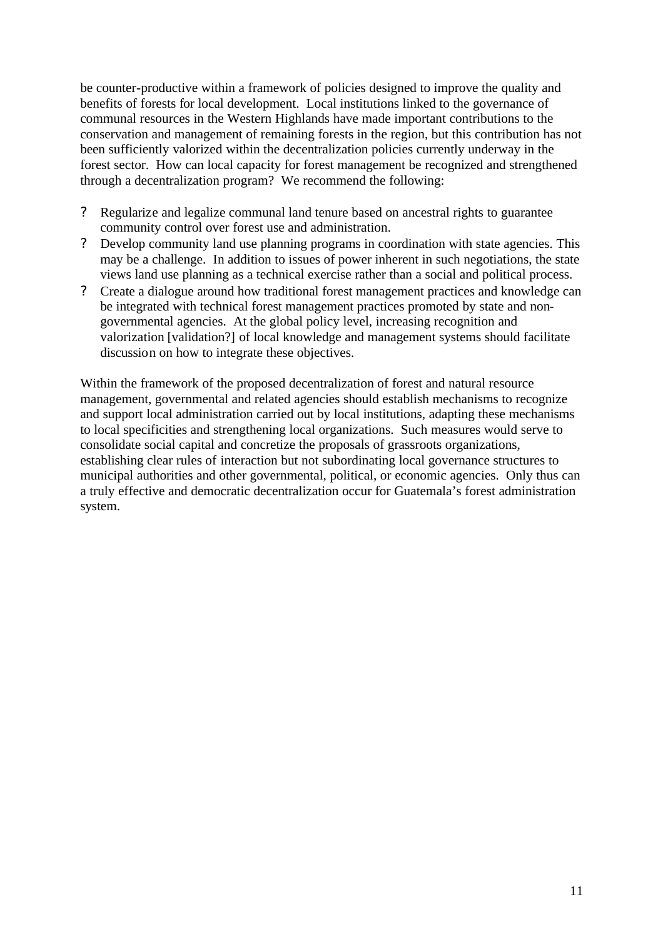be counter-productive within a framework of policies designed to improve the quality and benefits of forests for local development. Local institutions linked to the governance of communal resources in the Western Highlands have made important contributions to the conservation and management of remaining forests in the region, but this contribution has not been sufficiently valorized within the decentralization policies currently underway in the forest sector. How can local capacity for forest management be recognized and strengthened through a decentralization program? We recommend the following:

- ? Regularize and legalize communal land tenure based on ancestral rights to guarantee community control over forest use and administration.
- ? Develop community land use planning programs in coordination with state agencies. This may be a challenge. In addition to issues of power inherent in such negotiations, the state views land use planning as a technical exercise rather than a social and political process.
- ? Create a dialogue around how traditional forest management practices and knowledge can be integrated with technical forest management practices promoted by state and nongovernmental agencies. At the global policy level, increasing recognition and valorization [validation?] of local knowledge and management systems should facilitate discussion on how to integrate these objectives.

Within the framework of the proposed decentralization of forest and natural resource management, governmental and related agencies should establish mechanisms to recognize and support local administration carried out by local institutions, adapting these mechanisms to local specificities and strengthening local organizations. Such measures would serve to consolidate social capital and concretize the proposals of grassroots organizations, establishing clear rules of interaction but not subordinating local governance structures to municipal authorities and other governmental, political, or economic agencies. Only thus can a truly effective and democratic decentralization occur for Guatemala's forest administration system.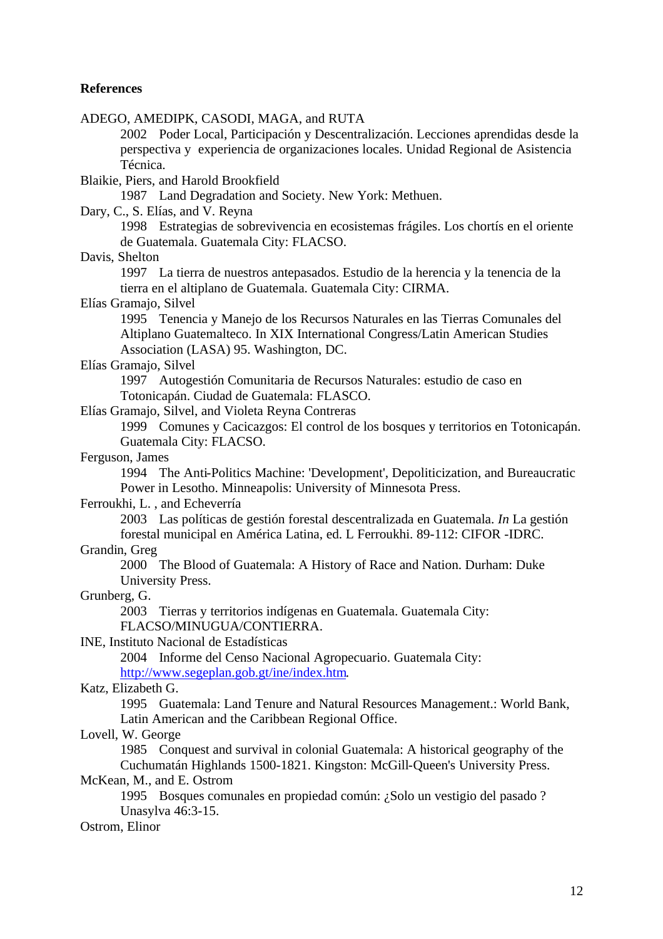#### **References**

ADEGO, AMEDIPK, CASODI, MAGA, and RUTA 2002 Poder Local, Participación y Descentralización. Lecciones aprendidas desde la perspectiva y experiencia de organizaciones locales. Unidad Regional de Asistencia Técnica. Blaikie, Piers, and Harold Brookfield 1987 Land Degradation and Society. New York: Methuen. Dary, C., S. Elías, and V. Reyna 1998 Estrategias de sobrevivencia en ecosistemas frágiles. Los chortís en el oriente de Guatemala. Guatemala City: FLACSO. Davis, Shelton 1997 La tierra de nuestros antepasados. Estudio de la herencia y la tenencia de la tierra en el altiplano de Guatemala. Guatemala City: CIRMA. Elías Gramajo, Silvel 1995 Tenencia y Manejo de los Recursos Naturales en las Tierras Comunales del Altiplano Guatemalteco. In XIX International Congress/Latin American Studies Association (LASA) 95. Washington, DC. Elías Gramajo, Silvel 1997 Autogestión Comunitaria de Recursos Naturales: estudio de caso en Totonicapán. Ciudad de Guatemala: FLASCO. Elías Gramajo, Silvel, and Violeta Reyna Contreras 1999 Comunes y Cacicazgos: El control de los bosques y territorios en Totonicapán. Guatemala City: FLACSO. Ferguson, James 1994 The Anti-Politics Machine: 'Development', Depoliticization, and Bureaucratic Power in Lesotho. Minneapolis: University of Minnesota Press. Ferroukhi, L. , and Echeverría 2003 Las políticas de gestión forestal descentralizada en Guatemala. *In* La gestión forestal municipal en América Latina, ed. L Ferroukhi. 89-112: CIFOR -IDRC. Grandin, Greg 2000 The Blood of Guatemala: A History of Race and Nation. Durham: Duke University Press. Grunberg, G. 2003 Tierras y territorios indígenas en Guatemala. Guatemala City: FLACSO/MINUGUA/CONTIERRA. INE, Instituto Nacional de Estadísticas 2004 Informe del Censo Nacional Agropecuario. Guatemala City: http://www.segeplan.gob.gt/ine/index.htm. Katz, Elizabeth G. 1995 Guatemala: Land Tenure and Natural Resources Management.: World Bank, Latin American and the Caribbean Regional Office. Lovell, W. George 1985 Conquest and survival in colonial Guatemala: A historical geography of the Cuchumatán Highlands 1500-1821. Kingston: McGill-Queen's University Press. McKean, M., and E. Ostrom 1995 Bosques comunales en propiedad común: ¿Solo un vestigio del pasado ? Unasylva 46:3-15. Ostrom, Elinor